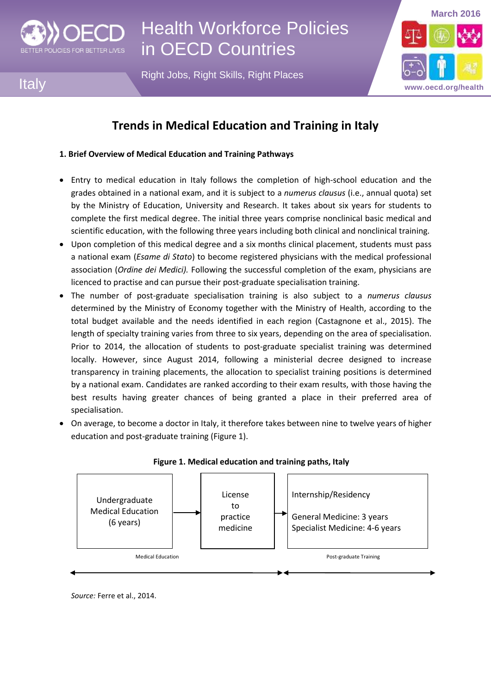

**Italy** 

# Health Workforce Policies in OECD Countries

Right Jobs, Right Skills, Right Places



# **Trends in Medical Education and Training in Italy**

## **1. Brief Overview of Medical Education and Training Pathways**

- Entry to medical education in Italy follows the completion of high-school education and the grades obtained in a national exam, and it is subject to a *numerus clausus* (i.e., annual quota) set by the Ministry of Education, University and Research. It takes about six years for students to complete the first medical degree. The initial three years comprise nonclinical basic medical and scientific education, with the following three years including both clinical and nonclinical training.
- Upon completion of this medical degree and a six months clinical placement, students must pass a national exam (*Esame di Stato*) to become registered physicians with the medical professional association (*Ordine dei Medici).* Following the successful completion of the exam, physicians are licenced to practise and can pursue their post-graduate specialisation training.
- The number of post-graduate specialisation training is also subject to a *numerus clausus* determined by the Ministry of Economy together with the Ministry of Health, according to the total budget available and the needs identified in each region (Castagnone et al., 2015). The length of specialty training varies from three to six years, depending on the area of specialisation. Prior to 2014, the allocation of students to post-graduate specialist training was determined locally. However, since August 2014, following a ministerial decree designed to increase transparency in training placements, the allocation to specialist training positions is determined by a national exam. Candidates are ranked according to their exam results, with those having the best results having greater chances of being granted a place in their preferred area of specialisation.
- On average, to become a doctor in Italy, it therefore takes between nine to twelve years of higher education and post-graduate training (Figure 1).



## **Figure 1. Medical education and training paths, Italy**

*Source:* Ferre et al., 2014.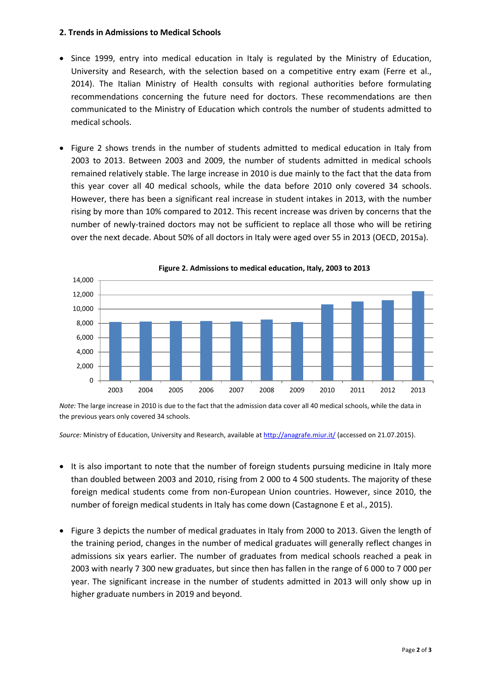#### **2. Trends in Admissions to Medical Schools**

- Since 1999, entry into medical education in Italy is regulated by the Ministry of Education, University and Research, with the selection based on a competitive entry exam (Ferre et al., 2014). The Italian Ministry of Health consults with regional authorities before formulating recommendations concerning the future need for doctors. These recommendations are then communicated to the Ministry of Education which controls the number of students admitted to medical schools.
- Figure 2 shows trends in the number of students admitted to medical education in Italy from 2003 to 2013. Between 2003 and 2009, the number of students admitted in medical schools remained relatively stable. The large increase in 2010 is due mainly to the fact that the data from this year cover all 40 medical schools, while the data before 2010 only covered 34 schools. However, there has been a significant real increase in student intakes in 2013, with the number rising by more than 10% compared to 2012. This recent increase was driven by concerns that the number of newly-trained doctors may not be sufficient to replace all those who will be retiring over the next decade. About 50% of all doctors in Italy were aged over 55 in 2013 (OECD, 2015a).



**Figure 2. Admissions to medical education, Italy, 2003 to 2013**

*Note:* The large increase in 2010 is due to the fact that the admission data cover all 40 medical schools, while the data in the previous years only covered 34 schools.

*Source:* Ministry of Education, University and Research, available a[t http://anagrafe.miur.it/](http://anagrafe.miur.it/) (accessed on 21.07.2015).

- It is also important to note that the number of foreign students pursuing medicine in Italy more than doubled between 2003 and 2010, rising from 2 000 to 4 500 students. The majority of these foreign medical students come from non-European Union countries. However, since 2010, the number of foreign medical students in Italy has come down (Castagnone E et al., 2015).
- Figure 3 depicts the number of medical graduates in Italy from 2000 to 2013. Given the length of the training period, changes in the number of medical graduates will generally reflect changes in admissions six years earlier. The number of graduates from medical schools reached a peak in 2003 with nearly 7 300 new graduates, but since then has fallen in the range of 6 000 to 7 000 per year. The significant increase in the number of students admitted in 2013 will only show up in higher graduate numbers in 2019 and beyond.